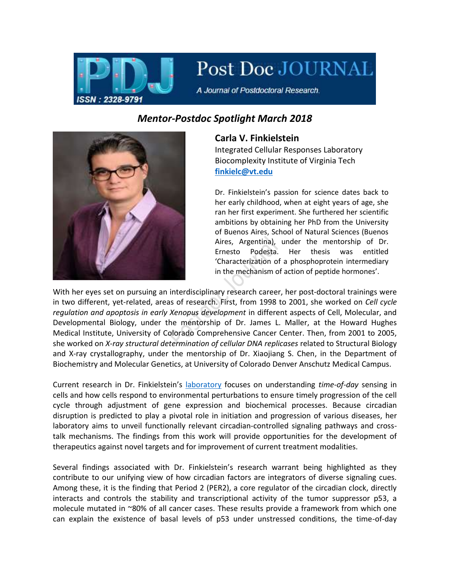

Post Doc JOURNAL

A Journal of Postdoctoral Research.

## *Mentor-Postdoc Spotlight March 2018*



## **Carla V. Finkielstein**

Integrated Cellular Responses Laboratory Biocomplexity Institute of Virginia Tech **[finkielc@vt.edu](mailto:finkielc@vt.edu)**

Dr. Finkielstein's passion for science dates back to her early childhood, when at eight years of age, she ran her first experiment. She furthered her scientific ambitions by obtaining her PhD from the University of Buenos Aires, School of Natural Sciences (Buenos Aires, Argentina), under the mentorship of Dr. Ernesto Podesta. Her thesis was entitled 'Characterization of a phosphoprotein intermediary in the mechanism of action of peptide hormones'.

With her eyes set on pursuing an interdisciplinary research career, her post-doctoral trainings were in two different, yet-related, areas of research. First, from 1998 to 2001, she worked on *Cell cycle regulation and apoptosis in early Xenopus development* in different aspects of Cell, Molecular, and Developmental Biology, under the mentorship of Dr. James L. Maller, at the Howard Hughes Medical Institute, University of Colorado Comprehensive Cancer Center. Then, from 2001 to 2005, she worked on *X-ray structural determination of cellular DNA replicases* related to Structural Biology and X-ray crystallography, under the mentorship of Dr. Xiaojiang S. Chen, in the Department of Biochemistry and Molecular Genetics, at University of Colorado Denver Anschutz Medical Campus.

Current research in Dr. Finkielstein's [laboratory](http://www.faculty.biol.vt.edu/finkielstein/index.htm) focuses on understanding *time-of-day* sensing in cells and how cells respond to environmental perturbations to ensure timely progression of the cell cycle through adjustment of gene expression and biochemical processes. Because circadian disruption is predicted to play a pivotal role in initiation and progression of various diseases, her laboratory aims to unveil functionally relevant circadian-controlled signaling pathways and crosstalk mechanisms. The findings from this work will provide opportunities for the development of therapeutics against novel targets and for improvement of current treatment modalities.

Several findings associated with Dr. Finkielstein's research warrant being highlighted as they contribute to our unifying view of how circadian factors are integrators of diverse signaling cues. Among these, it is the finding that Period 2 (PER2), a core regulator of the circadian clock, directly interacts and controls the stability and transcriptional activity of the tumor suppressor p53, a molecule mutated in ~80% of all cancer cases. These results provide a framework from which one can explain the existence of basal levels of p53 under unstressed conditions, the time-of-day